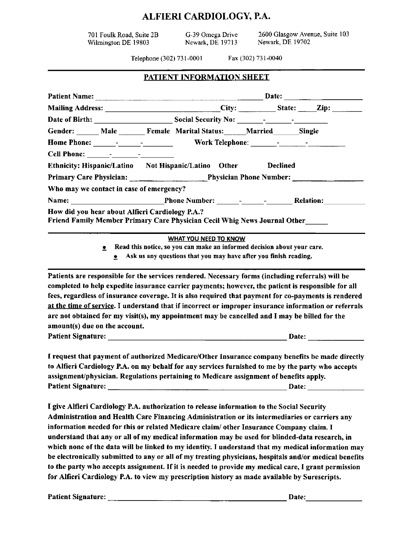# ALFIERI CARDIOLOGY, P.A.

701 Foulk Road, Suite 2B Wilmington DE 19803

G-39 Omega Drive Newark, DE 19713 2600 Glasgow Avenue, Suite 103 Newark, DE 19702

Telephone (302) 731-0001

Fax (302) 731-0040

|  | <u>PATIENT INFORMATION SHEET</u> |  |  |
|--|----------------------------------|--|--|
|--|----------------------------------|--|--|

|                                                                                                                                                                                                                                | Mailing Address: _______________________________City: ___________State: _____Zip: __________________                                                                                                                                                                                                                                                                                                                                                                                                                      |                                                                                                               |  |
|--------------------------------------------------------------------------------------------------------------------------------------------------------------------------------------------------------------------------------|---------------------------------------------------------------------------------------------------------------------------------------------------------------------------------------------------------------------------------------------------------------------------------------------------------------------------------------------------------------------------------------------------------------------------------------------------------------------------------------------------------------------------|---------------------------------------------------------------------------------------------------------------|--|
|                                                                                                                                                                                                                                |                                                                                                                                                                                                                                                                                                                                                                                                                                                                                                                           |                                                                                                               |  |
|                                                                                                                                                                                                                                | Gender: _____ Male ______ Female Marital Status: _____ Married ______ Single                                                                                                                                                                                                                                                                                                                                                                                                                                              |                                                                                                               |  |
|                                                                                                                                                                                                                                |                                                                                                                                                                                                                                                                                                                                                                                                                                                                                                                           |                                                                                                               |  |
|                                                                                                                                                                                                                                |                                                                                                                                                                                                                                                                                                                                                                                                                                                                                                                           |                                                                                                               |  |
|                                                                                                                                                                                                                                | Ethnicity: Hispanic/Latino Not Hispanic/Latino Other Declined                                                                                                                                                                                                                                                                                                                                                                                                                                                             |                                                                                                               |  |
|                                                                                                                                                                                                                                | Primary Care Physician: Physician Phone Number: 2008. [19] Physician Phone Number:                                                                                                                                                                                                                                                                                                                                                                                                                                        |                                                                                                               |  |
| Who may we contact in case of emergency?                                                                                                                                                                                       |                                                                                                                                                                                                                                                                                                                                                                                                                                                                                                                           |                                                                                                               |  |
|                                                                                                                                                                                                                                |                                                                                                                                                                                                                                                                                                                                                                                                                                                                                                                           |                                                                                                               |  |
| How did you hear about Alfieri Cardiology P.A.?                                                                                                                                                                                | Friend Family Member Primary Care Physician Cecil Whig News Journal Other                                                                                                                                                                                                                                                                                                                                                                                                                                                 |                                                                                                               |  |
| $\bullet$ .<br>۰                                                                                                                                                                                                               | <b>WHAT YOU NEED TO KNOW</b><br>Read this notice, so you can make an informed decision about your care.<br>Ask us any questions that you may have after you finish reading.                                                                                                                                                                                                                                                                                                                                               |                                                                                                               |  |
| amount(s) due on the account.                                                                                                                                                                                                  | Patients are responsible for the services rendered. Necessary forms (including referrals) will be<br>completed to help expedite insurance carrier payments; however, the patient is responsible for all<br>fees, regardless of insurance coverage. It is also required that payment for co-payments is rendered<br>at the time of service. I understand that if incorrect or improper insurance information or referrals<br>are not obtained for my visit(s), my appointment may be cancelled and I may be billed for the |                                                                                                               |  |
| the second contract of the second contract of the second contract of the second contract of the second contract of the second contract of the second contract of the second contract of the second contract of the second cont | I request that payment of authorized Medicare/Other Insurance company benefits be made directly                                                                                                                                                                                                                                                                                                                                                                                                                           | the second control of the second control of the second control of the second control of the second control of |  |

to Alfieri Cardiology P.A. on my behalf for any services furnished to me by the party who accepts assignment/physician. Regulations pertaining to Medicare assignment of benefits apply. Date: the contract of the contract of the contract of the contract of the contract of the contract of the contract of the contract of the contract of the contract of the contract of the contract of the contract of the cont

I give Alfieri Cardiology P.A. authorization to release information to the Social Security Administration and Health Care Financing Administration or its intermediaries or carriers any information needed for this or related Medicare claim/ other Insurance Company claim. I understand that any or all of my medical information may be used for blinded-data research, in which none of the data will be linked to my identity. I understand that my medical information may be electronically submitted to any or all of my treating physicians, hospitals and/or medical benefits to the party who accepts assignment. If it is needed to provide my medical care, I grant permission for Alfieri Cardiology P.A. to view my prescription history as made available by Surescripts.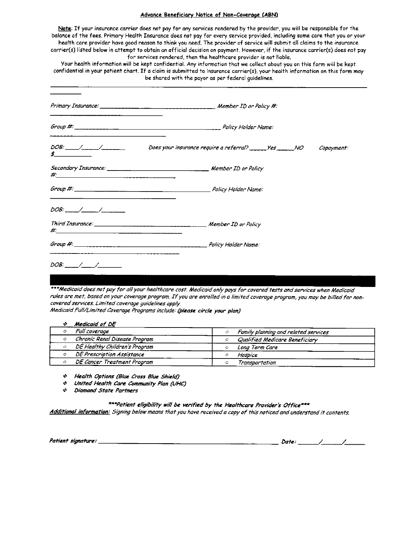### Advance Beneficiary Notice of Non-Coverage (ABN)

Note: If your insurance carrier does not pay for any services rendered by the provider, you will be responsible for the balance of the fees. Primary Health Insurance does not pay for every service provided, including some care that you or your health care provider have good reason to think you need. The provider of service will submit all claims to the insurance carrier(s) listed below in attempt to obtain an official decision on payment. However, if the insurance carrier(s) does not pay for services rendered, then the healthcare provider is not liable.

Your health information will be kept confidential. Any information that we collect about you on this form will be kept confidential in your patient chart. If a claim is submitted to insurance carrier(s), your health information on this form may be shared with the payor as per federal guidelines.

| $DOB:$ $\frac{1}{2}$ $\frac{1}{2}$ $\frac{1}{2}$ $\frac{1}{2}$ $\frac{1}{2}$ $\frac{1}{2}$ $\frac{1}{2}$ $\frac{1}{2}$ $\frac{1}{2}$ $\frac{1}{2}$ $\frac{1}{2}$ $\frac{1}{2}$ $\frac{1}{2}$ $\frac{1}{2}$ $\frac{1}{2}$ $\frac{1}{2}$ $\frac{1}{2}$ $\frac{1}{2}$ $\frac{1}{2}$ $\frac{1}{2}$ $\frac{1}{2}$ $\frac{1$<br>$\frac{1}{2}$ $\frac{1}{2}$ $\frac{1}{2}$ $\frac{1}{2}$ $\frac{1}{2}$ $\frac{1}{2}$ $\frac{1}{2}$ $\frac{1}{2}$ $\frac{1}{2}$ $\frac{1}{2}$ $\frac{1}{2}$ $\frac{1}{2}$ $\frac{1}{2}$ $\frac{1}{2}$ $\frac{1}{2}$ $\frac{1}{2}$ $\frac{1}{2}$ $\frac{1}{2}$ $\frac{1}{2}$ $\frac{1}{2}$ $\frac{1}{2}$ $\frac{1}{2}$ | Does your insurance require a referral? ______ Yes ______ NO<br>Copayment: |
|-----------------------------------------------------------------------------------------------------------------------------------------------------------------------------------------------------------------------------------------------------------------------------------------------------------------------------------------------------------------------------------------------------------------------------------------------------------------------------------------------------------------------------------------------------------------------------------------------------------------------------------------------|----------------------------------------------------------------------------|
|                                                                                                                                                                                                                                                                                                                                                                                                                                                                                                                                                                                                                                               |                                                                            |
|                                                                                                                                                                                                                                                                                                                                                                                                                                                                                                                                                                                                                                               |                                                                            |
|                                                                                                                                                                                                                                                                                                                                                                                                                                                                                                                                                                                                                                               |                                                                            |
|                                                                                                                                                                                                                                                                                                                                                                                                                                                                                                                                                                                                                                               |                                                                            |
|                                                                                                                                                                                                                                                                                                                                                                                                                                                                                                                                                                                                                                               |                                                                            |
|                                                                                                                                                                                                                                                                                                                                                                                                                                                                                                                                                                                                                                               |                                                                            |

\*\*\*Medicaid does not pay for all your healthcare cost, Medicaid only pays for covered tests and services when Medicaid rules are met, based on your coverage program. If you are enrolled in a limited coverage program, you may be billed for noncovered services. Limited coverage guidelines apply.

Medicaid Full/Limited Coverage Programs include: (please circle your plan)

| Medicaid of DE                |                                           |
|-------------------------------|-------------------------------------------|
| Full coverage                 | Family planning and related services<br>О |
| Chronic Renal Disease Program | Qualified Medicare Beneficiary<br>о       |
| DE Healthy Children's Program | Long Term Care<br>Ο                       |
| DE Prescription Assistance    | Hospice<br>Ο                              |
| DE Cancer Treatment Program   | Transportation<br>О                       |

Health Options (Blue Cross Blue Shield)

- United Health Care Community Plan (UHC)
- Diamond State Partners

\*\*\*Patient eligibility will be verified by the Healthcare Provider's Office\*\*\* Additional information: Signing below means that you have received a copy of this noticed and understand it contents.

Patient signature: \_

Date:  $\angle$  /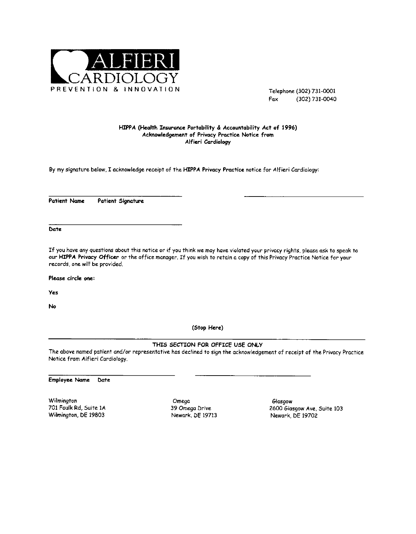

Telephone (302) 731-0001 Fax (302) 731-0040

### HIPPA (Health Insurance Portability & Accountability Act of 1996) Acknowledgement of Privacy Practice Notice from Alfieri Cardiology

By my signature below, I acknowledge receipt of the HIPPA Privacy Practice notice for Alfieri Cardiology:

**Patient Name** Patient Signature

Date

If you have any questions about this notice or if you think we may have violated your privacy rights, please ask to speak to our HIPPA Privacy Officer or the office manager. If you wish to retain a copy of this Privacy Practice Notice for your records, one will be provided.

Please circle one:

**Yes** 

No

(Stop Here)

THIS SECTION FOR OFFICE USE ONLY

The above named patient and/or representative has declined to sign the acknowledgement of receipt of the Privacy Practice Notice from Alfieri Cardiology.

**Employee Name** Date

Wilmington 701 Foulk Rd, Suite 1A Wilmington, DE 19803

Omega 39 Omega Drive Newark, DE 19713

Glasgow 2600 Glasgow Ave, Suite 103 Newark, DE 19702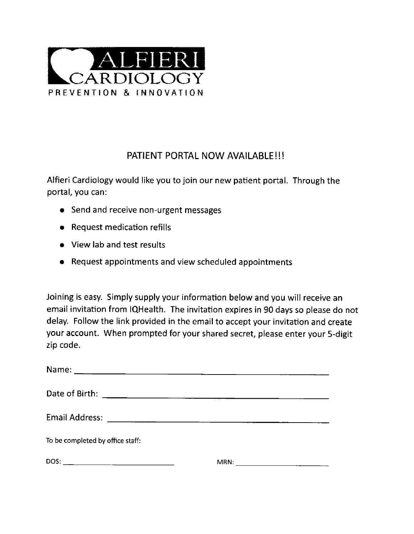

# PATIENT PORTAL NOW AVAILABLE!!!

Alfieri Cardiology would like you to join our new patient portal. Through the portal, you can:

- Send and receive non-urgent messages
- Request medication refills
- View lab and test results
- Request appointments and view scheduled appointments

Joining is easy. Simply supply your information below and you will receive an email invitation from IQHealth. The invitation expires in 90 days so please do not delay. Follow the link provided in the email to accept your invitation and create your account. When prompted for your shared secret, please enter your 5-digit zip code.

| To be completed by office staff: |                                                           |
|----------------------------------|-----------------------------------------------------------|
|                                  | MRN:<br><u> 1989 - Andrea State Barbara, amerikan per</u> |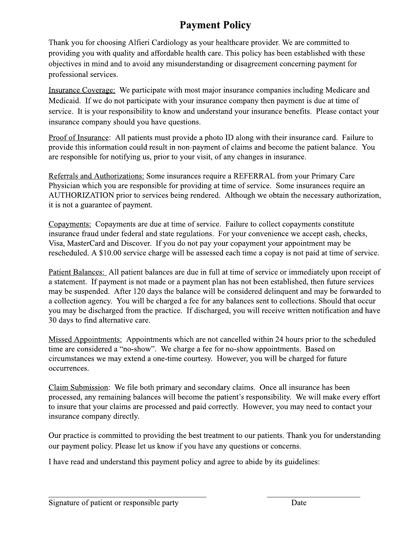# **Payment Policy**

Thank you for choosing Alfieri Cardiology as your healthcare provider. We are committed to providing you with quality and affordable health care. This policy has been established with these objectives in mind and to avoid any misunderstanding or disagreement concerning payment for professional services.

Insurance Coverage: We participate with most major insurance companies including Medicare and Medicaid. If we do not participate with your insurance company then payment is due at time of service. It is your responsibility to know and understand your insurance benefits. Please contact your insurance company should you have questions.

Proof of Insurance: All patients must provide a photo ID along with their insurance card. Failure to provide this information could result in non-payment of claims and become the patient balance. You are responsible for notifying us, prior to your visit, of any changes in insurance.

Referrals and Authorizations: Some insurances require a REFERRAL from your Primary Care Physician which you are responsible for providing at time of service. Some insurances require an AUTHORIZATION prior to services being rendered. Although we obtain the necessary authorization, it is not a guarantee of payment.

Copayments: Copayments are due at time of service. Failure to collect copayments constitute insurance fraud under federal and state regulations. For your convenience we accept cash, checks, Visa, MasterCard and Discover. If you do not pay your copayment your appointment may be rescheduled. A \$10.00 service charge will be assessed each time a copay is not paid at time of service.

Patient Balances: All patient balances are due in full at time of service or immediately upon receipt of a statement. If payment is not made or a payment plan has not been established, then future services may be suspended. After 120 days the balance will be considered delinguent and may be forwarded to a collection agency. You will be charged a fee for any balances sent to collections. Should that occur you may be discharged from the practice. If discharged, you will receive written notification and have 30 days to find alternative care.

Missed Appointments: Appointments which are not cancelled within 24 hours prior to the scheduled time are considered a "no-show". We charge a fee for no-show appointments. Based on circumstances we may extend a one-time courtesy. However, you will be charged for future occurrences.

Claim Submission: We file both primary and secondary claims. Once all insurance has been processed, any remaining balances will become the patient's responsibility. We will make every effort to insure that your claims are processed and paid correctly. However, you may need to contact your insurance company directly.

Our practice is committed to providing the best treatment to our patients. Thank you for understanding our payment policy. Please let us know if you have any questions or concerns.

I have read and understand this payment policy and agree to abide by its guidelines: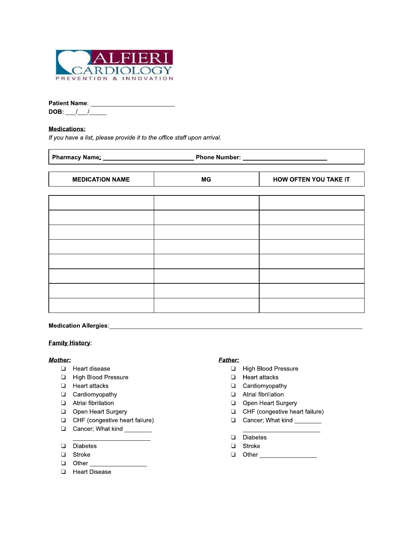

| $11 - 1$ $11 - 11 - 11$ $11 - 11 - 11 - 11 - 11$                        |           |                              |
|-------------------------------------------------------------------------|-----------|------------------------------|
|                                                                         |           |                              |
| DOB: $\frac{1}{\sqrt{2}}$                                               |           |                              |
| <b>Medications:</b>                                                     |           |                              |
| If you have a list, please provide it to the office staff upon arrival. |           |                              |
|                                                                         |           |                              |
| <b>MEDICATION NAME</b>                                                  | <b>MG</b> | <b>HOW OFTEN YOU TAKE IT</b> |
|                                                                         |           |                              |
|                                                                         |           |                              |
|                                                                         |           |                              |
|                                                                         |           |                              |
|                                                                         |           |                              |
|                                                                         |           |                              |
|                                                                         |           |                              |
|                                                                         |           |                              |
|                                                                         |           |                              |

# -+,,-.

# <u>ramıly History:</u>

- □ Heart disease
- **E** High Blood Pressure
- **E** Heart attacks
- **D** Cardiomyopathy
- $\Box$  Atrial fibrillation
- Open Heart Surgery
- $\Box$  CHF (congestive heart failure)
- Cancer; What kind \_\_\_\_\_\_\_
- Diabetes
- □ Stroke
- $\Box$  Other  $\Box$
- **E** Heart Disease

# <u>Mother:</u> when the same of the same of the same of the same of the same of the same of the same of the same of the same of the same of the same of the same of the same of the same of the same of the same of the same of the

- $\Box$  High Blood Pressure
- Heart attacks
- **Q** Cardiomyopathy
- $\Box$  Atrial fibrillation
- □ Open Heart Surgery<br>□ CHF (congestive hea
- CHF (congestive heart failure)
- Cancer; What kind
- Diabetes
- □ Stroke
- 0 Other \_\_\_\_\_\_\_\_\_\_\_\_\_\_\_\_\_\_